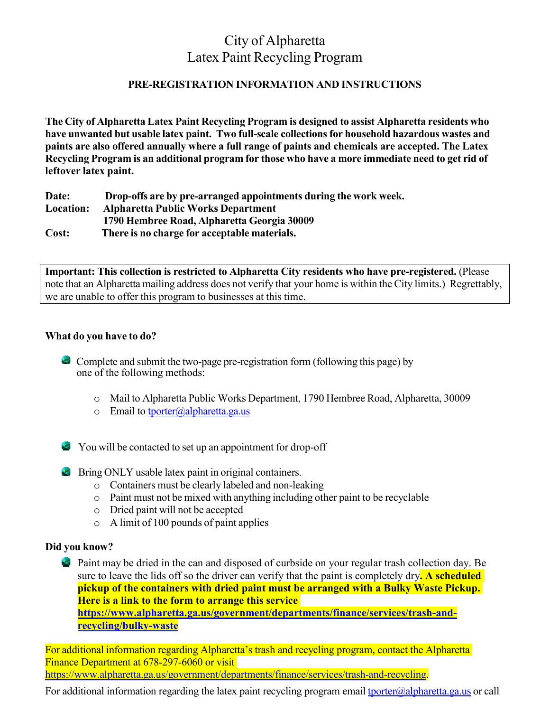## City of Alpharetta Latex Paint Recycling Program

#### **PRE-REGISTRATION INFORMATION AND INSTRUCTIONS**

**The City of Alpharetta Latex Paint Recycling Program is designed to assist Alpharetta residents who have unwanted but usable latex paint. Two full-scale collectionsfor household hazardous wastes and paints are also offered annually where a full range of paints and chemicals are accepted. The Latex Recycling Program is an additional program for those who have a more immediate need to get rid of leftover latex paint.**

**Date: Drop-offs are by pre-arranged appointments during the work week. Location: Alpharetta Public Works Department 1790 Hembree Road, Alpharetta Georgia 30009 Cost: There is no charge for acceptable materials.**

**Important: This collection is restricted to Alpharetta City residents who have pre-registered.** (Please note that an Alpharetta mailing address does not verify that your home is within the City limits.) Regrettably, we are unable to offer this program to businesses at this time.

#### **What do you have to do?**

Complete and submit the two-page pre-registration form (following this page) by one of the following methods:

- o Mail to Alpharetta Public Works Department, 1790 Hembree Road, Alpharetta, 30009
- $\circ$  Email to [tporter@alpharetta.ga.us](mailto:tporter@alpharetta.ga.us)

You will be contacted to set up an appointment for drop-off

#### Bring ONLY usable latex paint in original containers.

- o Containers must be clearly labeled and non-leaking
- o Paint must not be mixed with anything including other paint to be recyclable
- o Dried paint will not be accepted
- o A limit of 100 pounds of paint applies

#### **Did you know?**

 Paint may be dried in the can and disposed of curbside on your regular trash collection day. Be sure to leave the lids off so the driver can verify that the paint is completely dry**. A scheduled pickup of the containers with dried paint must be arranged with a Bulky Waste Pickup. Here is a link to the form to arrange this service [https://www.alpharetta.ga.us/government/departments/finance/services/trash-and](https://www.alpharetta.ga.us/government/departments/finance/services/trash-and-recycling/bulky-waste)[recycling/bulky-waste](https://www.alpharetta.ga.us/government/departments/finance/services/trash-and-recycling/bulky-waste)** 

For additional information regarding Alpharetta's trash and recycling program, contact the Alpharetta Finance Department at 678-297-6060 or visit [https://www.alpharetta.ga.us/government/departments/finance/services/trash-and-recycling.](https://www.alpharetta.ga.us/government/departments/finance/services/trash-and-recycling)

For additional information regarding the latex paint recycling program email **the unitary equals** or call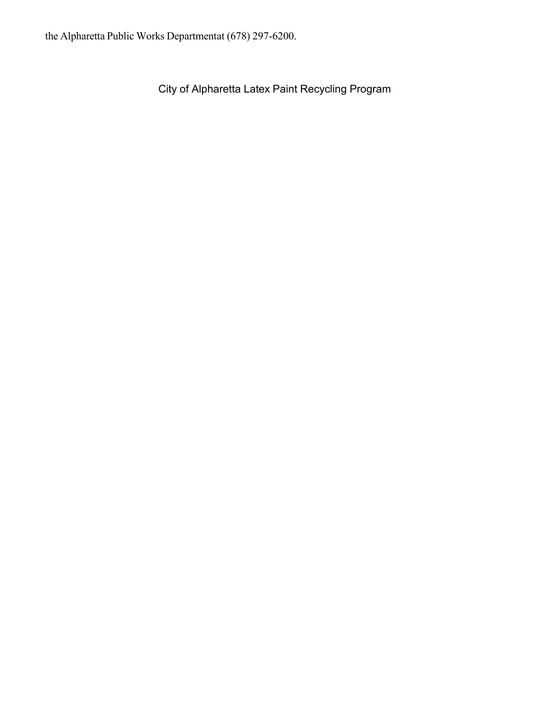City of Alpharetta Latex Paint Recycling Program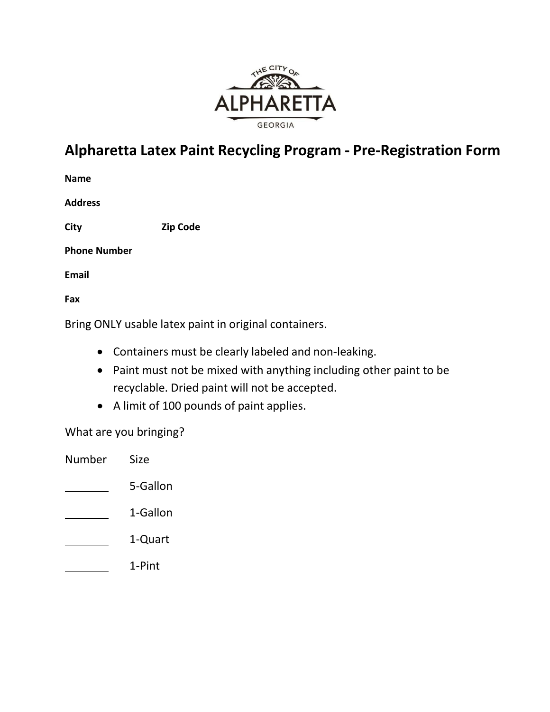

# **Alpharetta Latex Paint Recycling Program - Pre-Registration Form**

| Name           |  |
|----------------|--|
| <b>Address</b> |  |

**City Zip Code**

**Phone Number**

**Email**

**Fax**

Bring ONLY usable latex paint in original containers.

- Containers must be clearly labeled and non‐leaking.
- Paint must not be mixed with anything including other paint to be recyclable. Dried paint will not be accepted.
- A limit of 100 pounds of paint applies.

What are you bringing?

| Number | Size     |
|--------|----------|
|        | 5-Gallon |
|        | 1-Gallon |
|        | 1-Quart  |
|        | 1-Pint   |